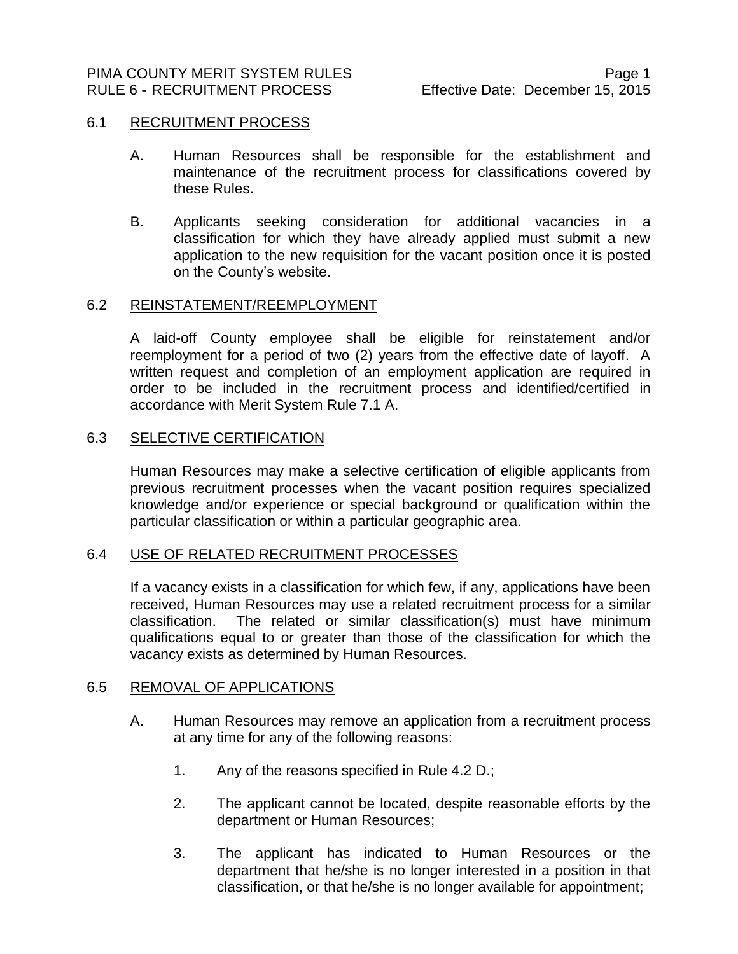## 6.1 RECRUITMENT PROCESS

- A. Human Resources shall be responsible for the establishment and maintenance of the recruitment process for classifications covered by these Rules.
- B. Applicants seeking consideration for additional vacancies in a classification for which they have already applied must submit a new application to the new requisition for the vacant position once it is posted on the County's website.

## 6.2 REINSTATEMENT/REEMPLOYMENT

A laid-off County employee shall be eligible for reinstatement and/or reemployment for a period of two (2) years from the effective date of layoff. A written request and completion of an employment application are required in order to be included in the recruitment process and identified/certified in accordance with Merit System Rule 7.1 A.

## 6.3 SELECTIVE CERTIFICATION

Human Resources may make a selective certification of eligible applicants from previous recruitment processes when the vacant position requires specialized knowledge and/or experience or special background or qualification within the particular classification or within a particular geographic area.

#### 6.4 USE OF RELATED RECRUITMENT PROCESSES

If a vacancy exists in a classification for which few, if any, applications have been received, Human Resources may use a related recruitment process for a similar classification. The related or similar classification(s) must have minimum qualifications equal to or greater than those of the classification for which the vacancy exists as determined by Human Resources.

## 6.5 REMOVAL OF APPLICATIONS

- A. Human Resources may remove an application from a recruitment process at any time for any of the following reasons:
	- 1. Any of the reasons specified in Rule 4.2 D.;
	- 2. The applicant cannot be located, despite reasonable efforts by the department or Human Resources;
	- 3. The applicant has indicated to Human Resources or the department that he/she is no longer interested in a position in that classification, or that he/she is no longer available for appointment;